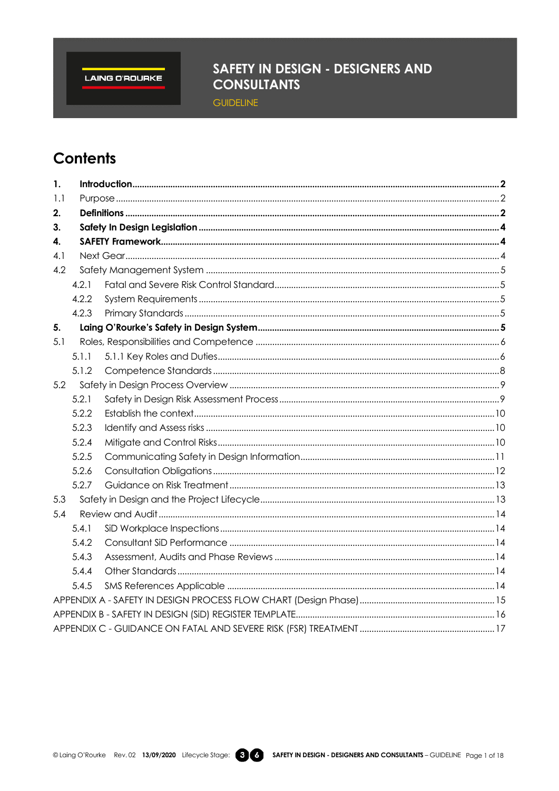LAING O'ROURKE

## SAFETY IN DESIGN - DESIGNERS AND **CONSULTANTS**

**GUIDELINE** 

# **Contents**

| 1.  |       |  |  |  |  |
|-----|-------|--|--|--|--|
| 1.1 |       |  |  |  |  |
| 2.  |       |  |  |  |  |
| 3.  |       |  |  |  |  |
| 4.  |       |  |  |  |  |
| 4.1 |       |  |  |  |  |
| 4.2 |       |  |  |  |  |
|     | 4.2.1 |  |  |  |  |
|     | 4.2.2 |  |  |  |  |
|     | 4.2.3 |  |  |  |  |
| 5.  |       |  |  |  |  |
| 5.1 |       |  |  |  |  |
|     | 5.1.1 |  |  |  |  |
|     | 5.1.2 |  |  |  |  |
| 5.2 |       |  |  |  |  |
|     | 5.2.1 |  |  |  |  |
|     | 5.2.2 |  |  |  |  |
|     | 5.2.3 |  |  |  |  |
|     | 5.2.4 |  |  |  |  |
|     | 5.2.5 |  |  |  |  |
|     | 5.2.6 |  |  |  |  |
|     | 5.2.7 |  |  |  |  |
| 5.3 |       |  |  |  |  |
| 5.4 |       |  |  |  |  |
|     | 5.4.1 |  |  |  |  |
|     | 5.4.2 |  |  |  |  |
|     | 5.4.3 |  |  |  |  |
|     | 5.4.4 |  |  |  |  |
|     | 5.4.5 |  |  |  |  |
|     |       |  |  |  |  |
|     |       |  |  |  |  |
|     |       |  |  |  |  |

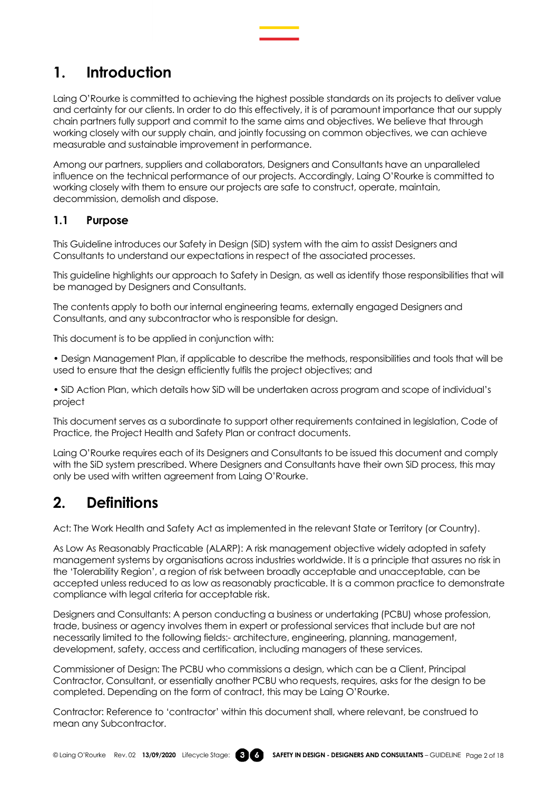## <span id="page-1-0"></span>**1. Introduction**

Laing O'Rourke is committed to achieving the highest possible standards on its projects to deliver value and certainty for our clients. In order to do this effectively, it is of paramount importance that our supply chain partners fully support and commit to the same aims and objectives. We believe that through working closely with our supply chain, and jointly focussing on common objectives, we can achieve measurable and sustainable improvement in performance.

Among our partners, suppliers and collaborators, Designers and Consultants have an unparalleled influence on the technical performance of our projects. Accordingly, Laing O'Rourke is committed to working closely with them to ensure our projects are safe to construct, operate, maintain, decommission, demolish and dispose.

## <span id="page-1-1"></span>**1.1 Purpose**

This Guideline introduces our Safety in Design (SiD) system with the aim to assist Designers and Consultants to understand our expectations in respect of the associated processes.

This guideline highlights our approach to Safety in Design, as well as identify those responsibilities that will be managed by Designers and Consultants.

The contents apply to both our internal engineering teams, externally engaged Designers and Consultants, and any subcontractor who is responsible for design.

This document is to be applied in conjunction with:

• Design Management Plan, if applicable to describe the methods, responsibilities and tools that will be used to ensure that the design efficiently fulfils the project objectives; and

• SiD Action Plan, which details how SiD will be undertaken across program and scope of individual's project

This document serves as a subordinate to support other requirements contained in legislation, Code of Practice, the Project Health and Safety Plan or contract documents.

Laing O'Rourke requires each of its Designers and Consultants to be issued this document and comply with the SiD system prescribed. Where Designers and Consultants have their own SiD process, this may only be used with written agreement from Laing O'Rourke.

## <span id="page-1-2"></span>**2. Definitions**

Act: The Work Health and Safety Act as implemented in the relevant State or Territory (or Country).

As Low As Reasonably Practicable (ALARP): A risk management objective widely adopted in safety management systems by organisations across industries worldwide. It is a principle that assures no risk in the 'Tolerability Region', a region of risk between broadly acceptable and unacceptable, can be accepted unless reduced to as low as reasonably practicable. It is a common practice to demonstrate compliance with legal criteria for acceptable risk.

Designers and Consultants: A person conducting a business or undertaking (PCBU) whose profession, trade, business or agency involves them in expert or professional services that include but are not necessarily limited to the following fields:- architecture, engineering, planning, management, development, safety, access and certification, including managers of these services.

Commissioner of Design: The PCBU who commissions a design, which can be a Client, Principal Contractor, Consultant, or essentially another PCBU who requests, requires, asks for the design to be completed. Depending on the form of contract, this may be Laing O'Rourke.

Contractor: Reference to 'contractor' within this document shall, where relevant, be construed to mean any Subcontractor.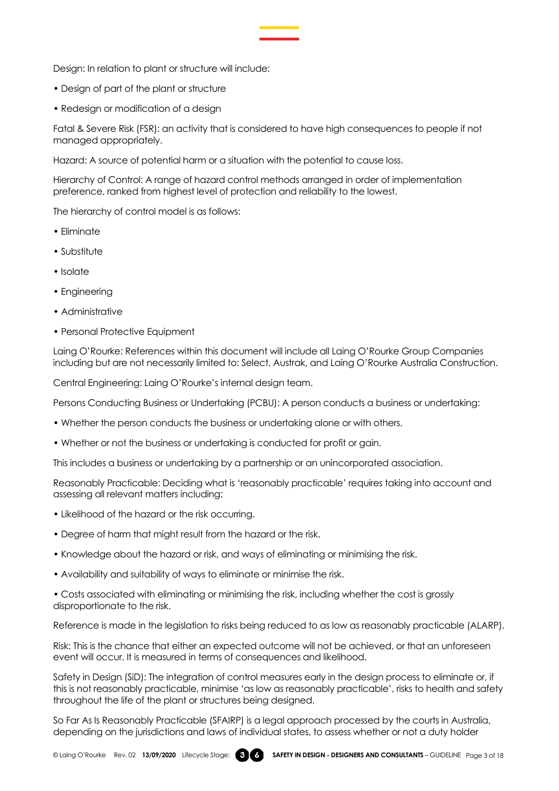Design: In relation to plant or structure will include:

- Design of part of the plant or structure
- Redesign or modification of a design

Fatal & Severe Risk (FSR): an activity that is considered to have high consequences to people if not managed appropriately.

Hazard: A source of potential harm or a situation with the potential to cause loss.

Hierarchy of Control: A range of hazard control methods arranged in order of implementation preference, ranked from highest level of protection and reliability to the lowest.

The hierarchy of control model is as follows:

- Eliminate
- Substitute
- Isolate
- Engineering
- Administrative
- Personal Protective Equipment

Laing O'Rourke: References within this document will include all Laing O'Rourke Group Companies including but are not necessarily limited to: Select, Austrak, and Laing O'Rourke Australia Construction.

Central Engineering: Laing O'Rourke's internal design team.

Persons Conducting Business or Undertaking (PCBU): A person conducts a business or undertaking:

- Whether the person conducts the business or undertaking alone or with others.
- Whether or not the business or undertaking is conducted for profit or gain.

This includes a business or undertaking by a partnership or an unincorporated association.

Reasonably Practicable: Deciding what is 'reasonably practicable' requires taking into account and assessing all relevant matters including:

- Likelihood of the hazard or the risk occurring.
- Degree of harm that might result from the hazard or the risk.
- Knowledge about the hazard or risk, and ways of eliminating or minimising the risk.
- Availability and suitability of ways to eliminate or minimise the risk.

• Costs associated with eliminating or minimising the risk, including whether the cost is grossly disproportionate to the risk.

Reference is made in the legislation to risks being reduced to as low as reasonably practicable (ALARP).

Risk: This is the chance that either an expected outcome will not be achieved, or that an unforeseen event will occur. It is measured in terms of consequences and likelihood.

Safety in Design (SiD): The integration of control measures early in the design process to eliminate or, if this is not reasonably practicable, minimise 'as low as reasonably practicable', risks to health and safety throughout the life of the plant or structures being designed.

So Far As Is Reasonably Practicable (SFAIRP) is a legal approach processed by the courts in Australia, depending on the jurisdictions and laws of individual states, to assess whether or not a duty holder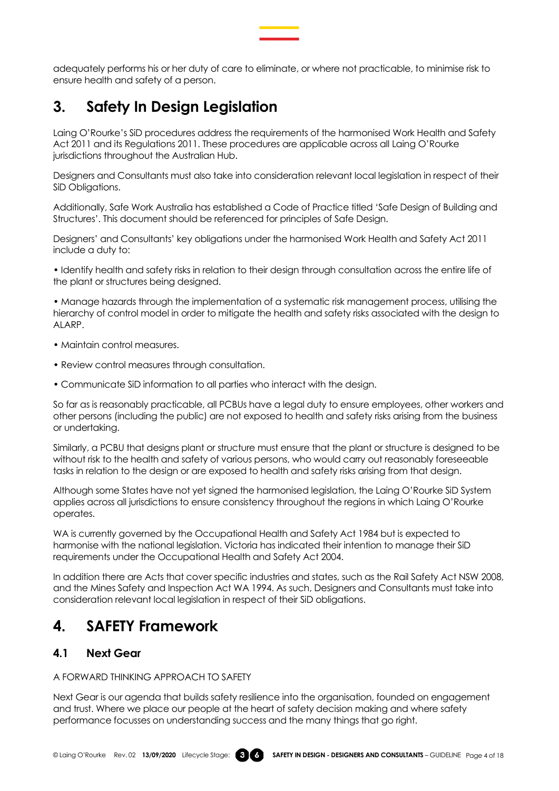adequately performs his or her duty of care to eliminate, or where not practicable, to minimise risk to ensure health and safety of a person.

## <span id="page-3-0"></span>**3. Safety In Design Legislation**

Laing O'Rourke's SiD procedures address the requirements of the harmonised Work Health and Safety Act 2011 and its Regulations 2011. These procedures are applicable across all Laing O'Rourke jurisdictions throughout the Australian Hub.

Designers and Consultants must also take into consideration relevant local legislation in respect of their SiD Obligations.

Additionally, Safe Work Australia has established a Code of Practice titled 'Safe Design of Building and Structures'. This document should be referenced for principles of Safe Design.

Designers' and Consultants' key obligations under the harmonised Work Health and Safety Act 2011 include a duty to:

• Identify health and safety risks in relation to their design through consultation across the entire life of the plant or structures being designed.

• Manage hazards through the implementation of a systematic risk management process, utilising the hierarchy of control model in order to mitigate the health and safety risks associated with the design to ALARP.

- Maintain control measures.
- Review control measures through consultation.
- Communicate SiD information to all parties who interact with the design.

So far as is reasonably practicable, all PCBUs have a legal duty to ensure employees, other workers and other persons (including the public) are not exposed to health and safety risks arising from the business or undertaking.

Similarly, a PCBU that designs plant or structure must ensure that the plant or structure is designed to be without risk to the health and safety of various persons, who would carry out reasonably foreseeable tasks in relation to the design or are exposed to health and safety risks arising from that design.

Although some States have not yet signed the harmonised legislation, the Laing O'Rourke SiD System applies across all jurisdictions to ensure consistency throughout the regions in which Laing O'Rourke operates.

WA is currently governed by the Occupational Health and Safety Act 1984 but is expected to harmonise with the national legislation. Victoria has indicated their intention to manage their SiD requirements under the Occupational Health and Safety Act 2004.

In addition there are Acts that cover specific industries and states, such as the Rail Safety Act NSW 2008, and the Mines Safety and Inspection Act WA 1994. As such, Designers and Consultants must take into consideration relevant local legislation in respect of their SiD obligations.

## <span id="page-3-1"></span>**4. SAFETY Framework**

## <span id="page-3-2"></span>**4.1 Next Gear**

#### A FORWARD THINKING APPROACH TO SAFETY

Next Gear is our agenda that builds safety resilience into the organisation, founded on engagement and trust. Where we place our people at the heart of safety decision making and where safety performance focusses on understanding success and the many things that go right.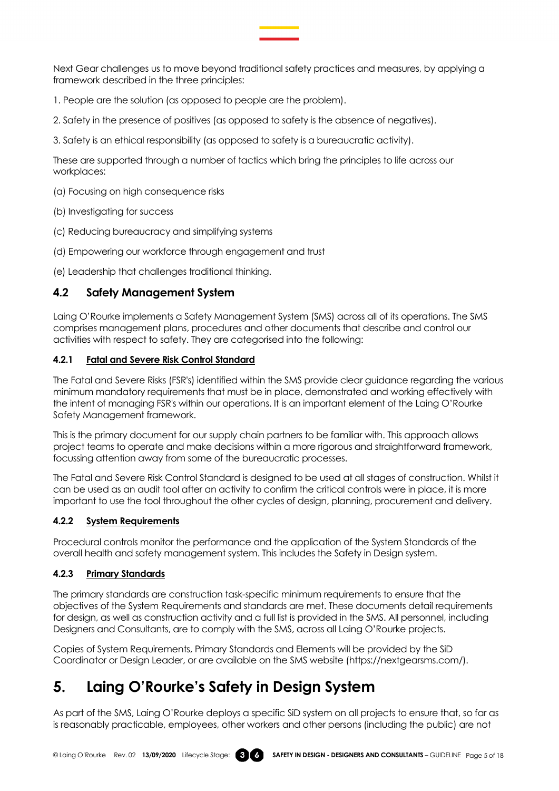Next Gear challenges us to move beyond traditional safety practices and measures, by applying a framework described in the three principles:

- 1. People are the solution (as opposed to people are the problem).
- 2. Safety in the presence of positives (as opposed to safety is the absence of negatives).
- 3. Safety is an ethical responsibility (as opposed to safety is a bureaucratic activity).

These are supported through a number of tactics which bring the principles to life across our workplaces:

- (a) Focusing on high consequence risks
- (b) Investigating for success
- (c) Reducing bureaucracy and simplifying systems
- (d) Empowering our workforce through engagement and trust
- (e) Leadership that challenges traditional thinking.

## <span id="page-4-0"></span>**4.2 Safety Management System**

Laing O'Rourke implements a Safety Management System (SMS) across all of its operations. The SMS comprises management plans, procedures and other documents that describe and control our activities with respect to safety. They are categorised into the following:

### <span id="page-4-1"></span>**4.2.1 Fatal and Severe Risk Control Standard**

The Fatal and Severe Risks (FSR's) identified within the SMS provide clear guidance regarding the various minimum mandatory requirements that must be in place, demonstrated and working effectively with the intent of managing FSR's within our operations. It is an important element of the Laing O'Rourke Safety Management framework.

This is the primary document for our supply chain partners to be familiar with. This approach allows project teams to operate and make decisions within a more rigorous and straightforward framework, focussing attention away from some of the bureaucratic processes.

The Fatal and Severe Risk Control Standard is designed to be used at all stages of construction. Whilst it can be used as an audit tool after an activity to confirm the critical controls were in place, it is more important to use the tool throughout the other cycles of design, planning, procurement and delivery.

## <span id="page-4-2"></span>**4.2.2 System Requirements**

Procedural controls monitor the performance and the application of the System Standards of the overall health and safety management system. This includes the Safety in Design system.

## <span id="page-4-3"></span>**4.2.3 Primary Standards**

The primary standards are construction task-specific minimum requirements to ensure that the objectives of the System Requirements and standards are met. These documents detail requirements for design, as well as construction activity and a full list is provided in the SMS. All personnel, including Designers and Consultants, are to comply with the SMS, across all Laing O'Rourke projects.

Copies of System Requirements, Primary Standards and Elements will be provided by the SiD Coordinator or Design Leader, or are available on the SMS website (https://nextgearsms.com/).

# <span id="page-4-4"></span>**5. Laing O'Rourke's Safety in Design System**

As part of the SMS, Laing O'Rourke deploys a specific SiD system on all projects to ensure that, so far as is reasonably practicable, employees, other workers and other persons (including the public) are not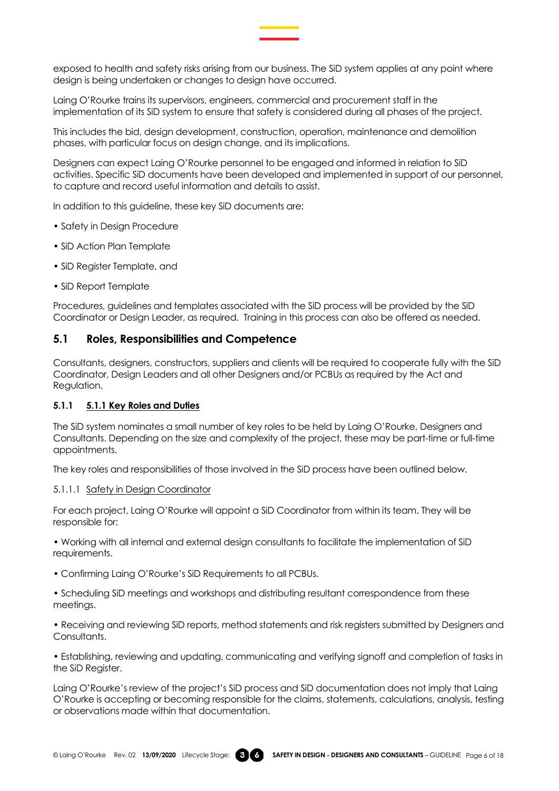

exposed to health and safety risks arising from our business. The SiD system applies at any point where design is being undertaken or changes to design have occurred.

Laing O'Rourke trains its supervisors, engineers, commercial and procurement staff in the implementation of its SiD system to ensure that safety is considered during all phases of the project.

This includes the bid, design development, construction, operation, maintenance and demolition phases, with particular focus on design change, and its implications.

Designers can expect Laing O'Rourke personnel to be engaged and informed in relation to SiD activities. Specific SiD documents have been developed and implemented in support of our personnel, to capture and record useful information and details to assist.

In addition to this guideline, these key SiD documents are:

- Safety in Design Procedure
- SiD Action Plan Template
- SiD Register Template, and
- SiD Report Template

Procedures, guidelines and templates associated with the SiD process will be provided by the SiD Coordinator or Design Leader, as required. Training in this process can also be offered as needed.

### <span id="page-5-0"></span>**5.1 Roles, Responsibilities and Competence**

Consultants, designers, constructors, suppliers and clients will be required to cooperate fully with the SiD Coordinator, Design Leaders and all other Designers and/or PCBUs as required by the Act and Regulation.

#### <span id="page-5-1"></span>**5.1.1 5.1.1 Key Roles and Duties**

The SiD system nominates a small number of key roles to be held by Laing O'Rourke, Designers and Consultants. Depending on the size and complexity of the project, these may be part-time or full-time appointments.

The key roles and responsibilities of those involved in the SiD process have been outlined below.

#### 5.1.1.1 Safety in Design Coordinator

For each project, Laing O'Rourke will appoint a SiD Coordinator from within its team. They will be responsible for:

• Working with all internal and external design consultants to facilitate the implementation of SiD requirements.

• Confirming Laing O'Rourke's SiD Requirements to all PCBUs.

• Scheduling SiD meetings and workshops and distributing resultant correspondence from these meetings.

• Receiving and reviewing SiD reports, method statements and risk registers submitted by Designers and Consultants.

• Establishing, reviewing and updating, communicating and verifying signoff and completion of tasks in the SiD Register.

Laing O'Rourke's review of the project's SiD process and SiD documentation does not imply that Laing O'Rourke is accepting or becoming responsible for the claims, statements, calculations, analysis, testing or observations made within that documentation.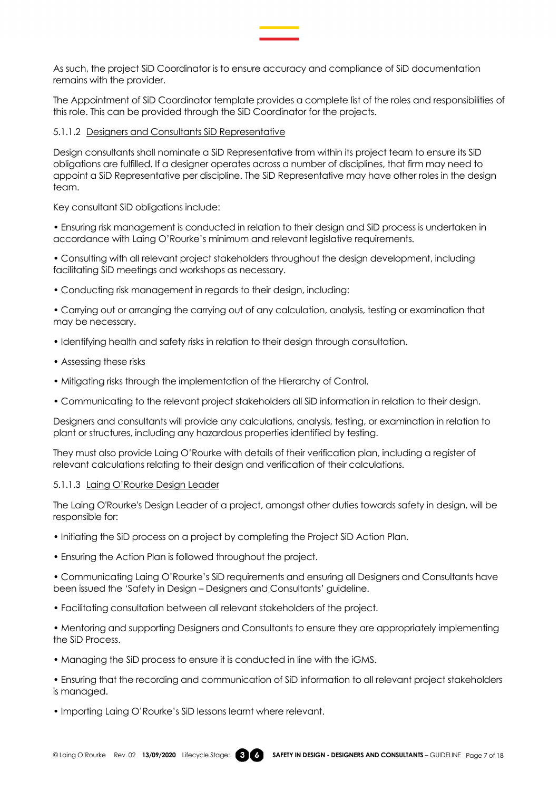As such, the project SiD Coordinator is to ensure accuracy and compliance of SiD documentation remains with the provider.

The Appointment of SiD Coordinator template provides a complete list of the roles and responsibilities of this role. This can be provided through the SiD Coordinator for the projects.

#### 5.1.1.2 Designers and Consultants SiD Representative

Design consultants shall nominate a SiD Representative from within its project team to ensure its SiD obligations are fulfilled. If a designer operates across a number of disciplines, that firm may need to appoint a SiD Representative per discipline. The SiD Representative may have other roles in the design team.

Key consultant SiD obligations include:

• Ensuring risk management is conducted in relation to their design and SiD process is undertaken in accordance with Laing O'Rourke's minimum and relevant legislative requirements.

• Consulting with all relevant project stakeholders throughout the design development, including facilitating SiD meetings and workshops as necessary.

• Conducting risk management in regards to their design, including:

• Carrying out or arranging the carrying out of any calculation, analysis, testing or examination that may be necessary.

- Identifying health and safety risks in relation to their design through consultation.
- Assessing these risks
- Mitigating risks through the implementation of the Hierarchy of Control.
- Communicating to the relevant project stakeholders all SiD information in relation to their design.

Designers and consultants will provide any calculations, analysis, testing, or examination in relation to plant or structures, including any hazardous properties identified by testing.

They must also provide Laing O'Rourke with details of their verification plan, including a register of relevant calculations relating to their design and verification of their calculations.

#### 5.1.1.3 Laing O'Rourke Design Leader

The Laing O'Rourke's Design Leader of a project, amongst other duties towards safety in design, will be responsible for:

- Initiating the SiD process on a project by completing the Project SiD Action Plan.
- Ensuring the Action Plan is followed throughout the project.

• Communicating Laing O'Rourke's SiD requirements and ensuring all Designers and Consultants have been issued the 'Safety in Design – Designers and Consultants' guideline.

• Facilitating consultation between all relevant stakeholders of the project.

• Mentoring and supporting Designers and Consultants to ensure they are appropriately implementing the SiD Process.

- Managing the SiD process to ensure it is conducted in line with the iGMS.
- Ensuring that the recording and communication of SiD information to all relevant project stakeholders is managed.
- Importing Laing O'Rourke's SiD lessons learnt where relevant.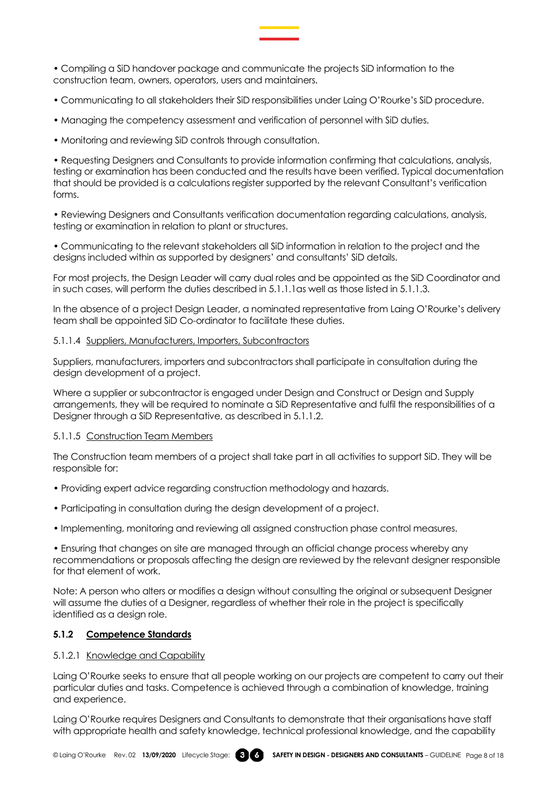• Compiling a SiD handover package and communicate the projects SiD information to the construction team, owners, operators, users and maintainers.

- Communicating to all stakeholders their SiD responsibilities under Laing O'Rourke's SiD procedure.
- Managing the competency assessment and verification of personnel with SiD duties.
- Monitoring and reviewing SiD controls through consultation.

• Requesting Designers and Consultants to provide information confirming that calculations, analysis, testing or examination has been conducted and the results have been verified. Typical documentation that should be provided is a calculations register supported by the relevant Consultant's verification forms.

• Reviewing Designers and Consultants verification documentation regarding calculations, analysis, testing or examination in relation to plant or structures.

• Communicating to the relevant stakeholders all SiD information in relation to the project and the designs included within as supported by designers' and consultants' SiD details.

For most projects, the Design Leader will carry dual roles and be appointed as the SiD Coordinator and in such cases, will perform the duties described in 5.1.1.1as well as those listed in 5.1.1.3.

In the absence of a project Design Leader, a nominated representative from Laing O'Rourke's delivery team shall be appointed SiD Co-ordinator to facilitate these duties.

#### 5.1.1.4 Suppliers, Manufacturers, Importers, Subcontractors

Suppliers, manufacturers, importers and subcontractors shall participate in consultation during the design development of a project.

Where a supplier or subcontractor is engaged under Design and Construct or Design and Supply arrangements, they will be required to nominate a SiD Representative and fulfil the responsibilities of a Designer through a SiD Representative, as described in 5.1.1.2.

#### 5.1.1.5 Construction Team Members

The Construction team members of a project shall take part in all activities to support SiD. They will be responsible for:

- Providing expert advice regarding construction methodology and hazards.
- Participating in consultation during the design development of a project.
- Implementing, monitoring and reviewing all assigned construction phase control measures.

• Ensuring that changes on site are managed through an official change process whereby any recommendations or proposals affecting the design are reviewed by the relevant designer responsible for that element of work.

Note: A person who alters or modifies a design without consulting the original or subsequent Designer will assume the duties of a Designer, regardless of whether their role in the project is specifically identified as a design role.

#### <span id="page-7-0"></span>**5.1.2 Competence Standards**

#### 5.1.2.1 Knowledge and Capability

Laing O'Rourke seeks to ensure that all people working on our projects are competent to carry out their particular duties and tasks. Competence is achieved through a combination of knowledge, training and experience.

Laing O'Rourke requires Designers and Consultants to demonstrate that their organisations have staff with appropriate health and safety knowledge, technical professional knowledge, and the capability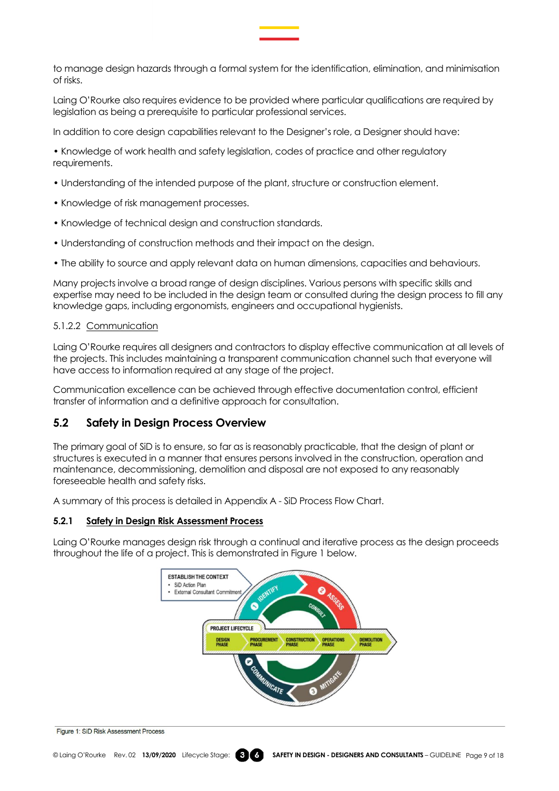to manage design hazards through a formal system for the identification, elimination, and minimisation of risks.

Laing O'Rourke also requires evidence to be provided where particular qualifications are required by legislation as being a prerequisite to particular professional services.

In addition to core design capabilities relevant to the Designer's role, a Designer should have:

• Knowledge of work health and safety legislation, codes of practice and other regulatory requirements.

- Understanding of the intended purpose of the plant, structure or construction element.
- Knowledge of risk management processes.
- Knowledge of technical design and construction standards.
- Understanding of construction methods and their impact on the design.
- The ability to source and apply relevant data on human dimensions, capacities and behaviours.

Many projects involve a broad range of design disciplines. Various persons with specific skills and expertise may need to be included in the design team or consulted during the design process to fill any knowledge gaps, including ergonomists, engineers and occupational hygienists.

#### 5.1.2.2 Communication

Laing O'Rourke requires all designers and contractors to display effective communication at all levels of the projects. This includes maintaining a transparent communication channel such that everyone will have access to information required at any stage of the project.

Communication excellence can be achieved through effective documentation control, efficient transfer of information and a definitive approach for consultation.

## <span id="page-8-0"></span>**5.2 Safety in Design Process Overview**

The primary goal of SiD is to ensure, so far as is reasonably practicable, that the design of plant or structures is executed in a manner that ensures persons involved in the construction, operation and maintenance, decommissioning, demolition and disposal are not exposed to any reasonably foreseeable health and safety risks.

A summary of this process is detailed in Appendix A - SiD Process Flow Chart.

#### <span id="page-8-1"></span>**5.2.1 Safety in Design Risk Assessment Process**

Laing O'Rourke manages design risk through a continual and iterative process as the design proceeds throughout the life of a project. This is demonstrated in Figure 1 below.



Figure 1: SiD Risk Assessment Process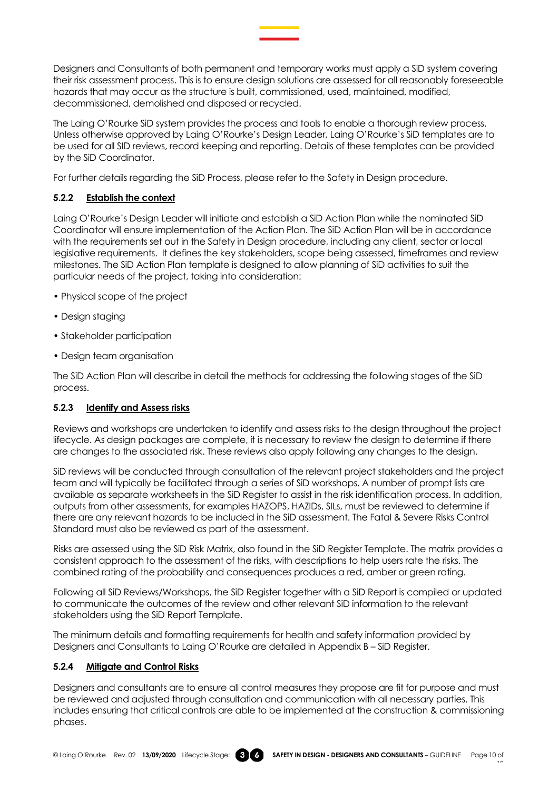Designers and Consultants of both permanent and temporary works must apply a SiD system covering their risk assessment process. This is to ensure design solutions are assessed for all reasonably foreseeable hazards that may occur as the structure is built, commissioned, used, maintained, modified, decommissioned, demolished and disposed or recycled.

The Laing O'Rourke SiD system provides the process and tools to enable a thorough review process. Unless otherwise approved by Laing O'Rourke's Design Leader, Laing O'Rourke's SiD templates are to be used for all SID reviews, record keeping and reporting. Details of these templates can be provided by the SiD Coordinator.

For further details regarding the SiD Process, please refer to the Safety in Design procedure.

## <span id="page-9-0"></span>**5.2.2 Establish the context**

Laing O'Rourke's Design Leader will initiate and establish a SiD Action Plan while the nominated SiD Coordinator will ensure implementation of the Action Plan. The SiD Action Plan will be in accordance with the requirements set out in the Safety in Design procedure, including any client, sector or local legislative requirements. It defines the key stakeholders, scope being assessed, timeframes and review milestones. The SiD Action Plan template is designed to allow planning of SiD activities to suit the particular needs of the project, taking into consideration:

- Physical scope of the project
- Design staging
- Stakeholder participation
- Design team organisation

The SiD Action Plan will describe in detail the methods for addressing the following stages of the SiD process.

## <span id="page-9-1"></span>**5.2.3 Identify and Assess risks**

Reviews and workshops are undertaken to identify and assess risks to the design throughout the project lifecycle. As design packages are complete, it is necessary to review the design to determine if there are changes to the associated risk. These reviews also apply following any changes to the design.

SiD reviews will be conducted through consultation of the relevant project stakeholders and the project team and will typically be facilitated through a series of SiD workshops. A number of prompt lists are available as separate worksheets in the SiD Register to assist in the risk identification process. In addition, outputs from other assessments, for examples HAZOPS, HAZIDs, SILs, must be reviewed to determine if there are any relevant hazards to be included in the SiD assessment. The Fatal & Severe Risks Control Standard must also be reviewed as part of the assessment.

Risks are assessed using the SiD Risk Matrix, also found in the SiD Register Template. The matrix provides a consistent approach to the assessment of the risks, with descriptions to help users rate the risks. The combined rating of the probability and consequences produces a red, amber or green rating.

Following all SiD Reviews/Workshops, the SiD Register together with a SiD Report is compiled or updated to communicate the outcomes of the review and other relevant SiD information to the relevant stakeholders using the SiD Report Template.

The minimum details and formatting requirements for health and safety information provided by Designers and Consultants to Laing O'Rourke are detailed in Appendix B – SiD Register.

## <span id="page-9-2"></span>**5.2.4 Mitigate and Control Risks**

Designers and consultants are to ensure all control measures they propose are fit for purpose and must be reviewed and adjusted through consultation and communication with all necessary parties. This includes ensuring that critical controls are able to be implemented at the construction & commissioning phases.

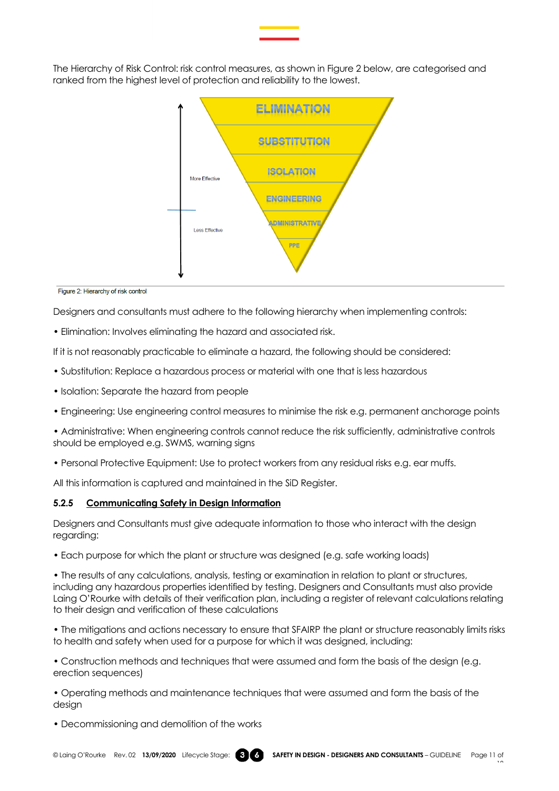The Hierarchy of Risk Control: risk control measures, as shown in Figure 2 below, are categorised and ranked from the highest level of protection and reliability to the lowest.



Figure 2: Hierarchy of risk control

Designers and consultants must adhere to the following hierarchy when implementing controls:

• Elimination: Involves eliminating the hazard and associated risk.

If it is not reasonably practicable to eliminate a hazard, the following should be considered:

- Substitution: Replace a hazardous process or material with one that is less hazardous
- Isolation: Separate the hazard from people
- Engineering: Use engineering control measures to minimise the risk e.g. permanent anchorage points

• Administrative: When engineering controls cannot reduce the risk sufficiently, administrative controls should be employed e.g. SWMS, warning signs

• Personal Protective Equipment: Use to protect workers from any residual risks e.g. ear muffs.

All this information is captured and maintained in the SiD Register.

#### <span id="page-10-0"></span>**5.2.5 Communicating Safety in Design Information**

Designers and Consultants must give adequate information to those who interact with the design regarding:

• Each purpose for which the plant or structure was designed (e.g. safe working loads)

• The results of any calculations, analysis, testing or examination in relation to plant or structures, including any hazardous properties identified by testing. Designers and Consultants must also provide Laing O'Rourke with details of their verification plan, including a register of relevant calculations relating to their design and verification of these calculations

• The mitigations and actions necessary to ensure that SFAIRP the plant or structure reasonably limits risks to health and safety when used for a purpose for which it was designed, including:

• Construction methods and techniques that were assumed and form the basis of the design (e.g. erection sequences)

• Operating methods and maintenance techniques that were assumed and form the basis of the design

• Decommissioning and demolition of the works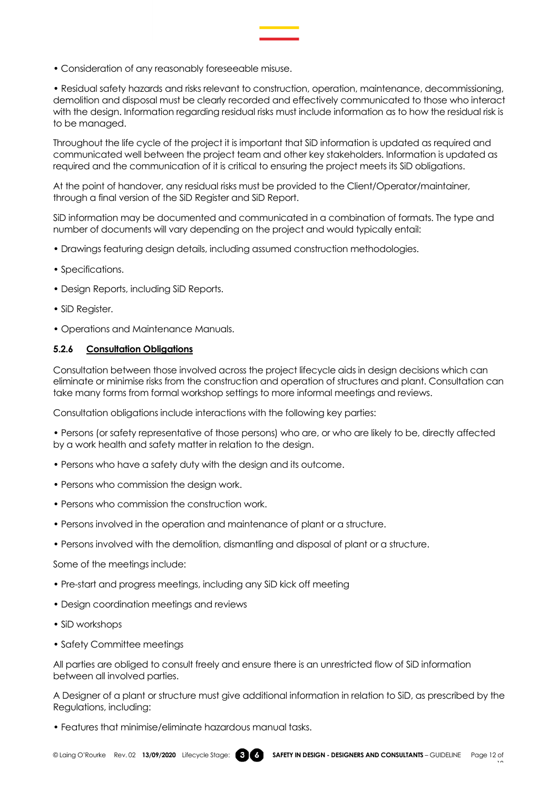• Consideration of any reasonably foreseeable misuse.

• Residual safety hazards and risks relevant to construction, operation, maintenance, decommissioning, demolition and disposal must be clearly recorded and effectively communicated to those who interact with the design. Information regarding residual risks must include information as to how the residual risk is to be managed.

Throughout the life cycle of the project it is important that SiD information is updated as required and communicated well between the project team and other key stakeholders. Information is updated as required and the communication of it is critical to ensuring the project meets its SiD obligations.

At the point of handover, any residual risks must be provided to the Client/Operator/maintainer, through a final version of the SiD Register and SiD Report.

SiD information may be documented and communicated in a combination of formats. The type and number of documents will vary depending on the project and would typically entail:

- Drawings featuring design details, including assumed construction methodologies.
- Specifications.
- Design Reports, including SiD Reports.
- SiD Register.
- Operations and Maintenance Manuals.

#### <span id="page-11-0"></span>**5.2.6 Consultation Obligations**

Consultation between those involved across the project lifecycle aids in design decisions which can eliminate or minimise risks from the construction and operation of structures and plant. Consultation can take many forms from formal workshop settings to more informal meetings and reviews.

Consultation obligations include interactions with the following key parties:

• Persons (or safety representative of those persons) who are, or who are likely to be, directly affected by a work health and safety matter in relation to the design.

- Persons who have a safety duty with the design and its outcome.
- Persons who commission the design work.
- Persons who commission the construction work.
- Persons involved in the operation and maintenance of plant or a structure.
- Persons involved with the demolition, dismantling and disposal of plant or a structure.

Some of the meetings include:

- Pre-start and progress meetings, including any SiD kick off meeting
- Design coordination meetings and reviews
- SiD workshops
- Safety Committee meetings

All parties are obliged to consult freely and ensure there is an unrestricted flow of SiD information between all involved parties.

A Designer of a plant or structure must give additional information in relation to SiD, as prescribed by the Regulations, including:

• Features that minimise/eliminate hazardous manual tasks.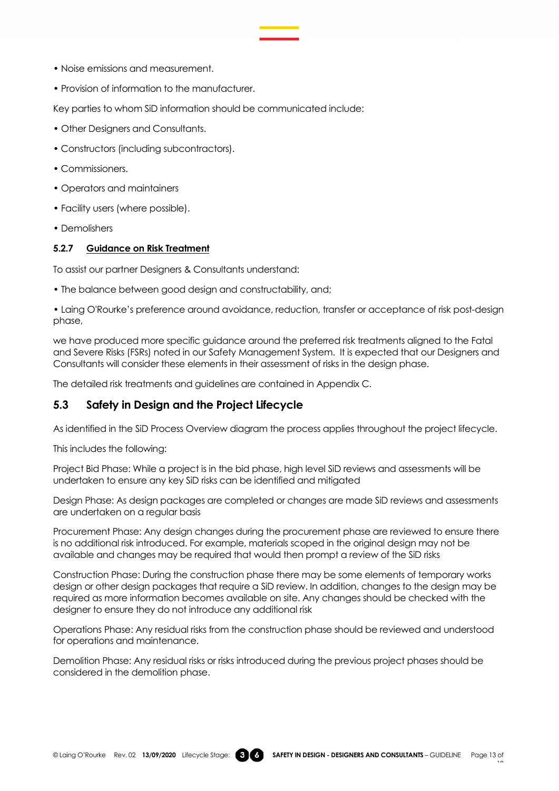- Noise emissions and measurement.
- Provision of information to the manufacturer.

Key parties to whom SiD information should be communicated include:

- Other Designers and Consultants.
- Constructors (including subcontractors).
- Commissioners.
- Operators and maintainers
- Facility users (where possible).
- Demolishers

#### <span id="page-12-0"></span>**5.2.7 Guidance on Risk Treatment**

To assist our partner Designers & Consultants understand:

• The balance between good design and constructability, and;

• Laing O'Rourke's preference around avoidance, reduction, transfer or acceptance of risk post-design phase,

we have produced more specific guidance around the preferred risk treatments aligned to the Fatal and Severe Risks (FSRs) noted in our Safety Management System. It is expected that our Designers and Consultants will consider these elements in their assessment of risks in the design phase.

The detailed risk treatments and guidelines are contained in Appendix C.

## <span id="page-12-1"></span>**5.3 Safety in Design and the Project Lifecycle**

As identified in the SiD Process Overview diagram the process applies throughout the project lifecycle.

This includes the following:

Project Bid Phase: While a project is in the bid phase, high level SiD reviews and assessments will be undertaken to ensure any key SiD risks can be identified and mitigated

Design Phase: As design packages are completed or changes are made SiD reviews and assessments are undertaken on a regular basis

Procurement Phase: Any design changes during the procurement phase are reviewed to ensure there is no additional risk introduced. For example, materials scoped in the original design may not be available and changes may be required that would then prompt a review of the SiD risks

Construction Phase: During the construction phase there may be some elements of temporary works design or other design packages that require a SiD review. In addition, changes to the design may be required as more information becomes available on site. Any changes should be checked with the designer to ensure they do not introduce any additional risk

Operations Phase: Any residual risks from the construction phase should be reviewed and understood for operations and maintenance.

Demolition Phase: Any residual risks or risks introduced during the previous project phases should be considered in the demolition phase.

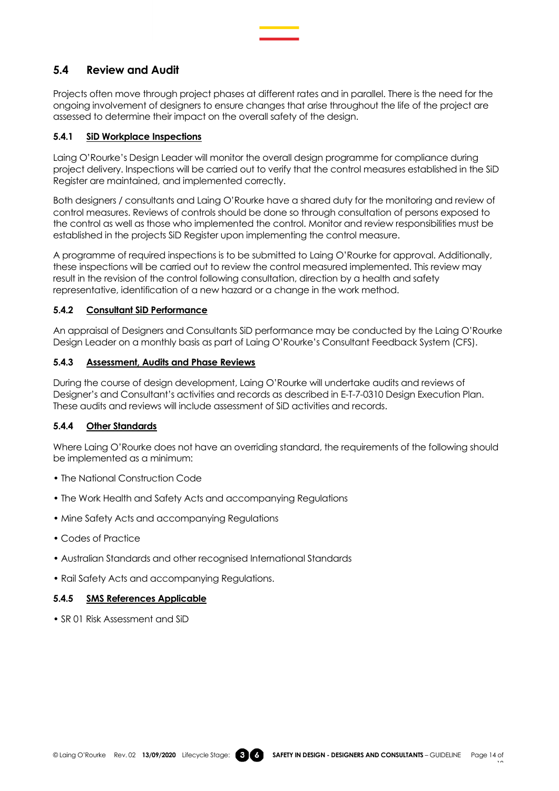## <span id="page-13-0"></span>**5.4 Review and Audit**

Projects often move through project phases at different rates and in parallel. There is the need for the ongoing involvement of designers to ensure changes that arise throughout the life of the project are assessed to determine their impact on the overall safety of the design.

### <span id="page-13-1"></span>**5.4.1 SiD Workplace Inspections**

Laing O'Rourke's Design Leader will monitor the overall design programme for compliance during project delivery. Inspections will be carried out to verify that the control measures established in the SiD Register are maintained, and implemented correctly.

Both designers / consultants and Laing O'Rourke have a shared duty for the monitoring and review of control measures. Reviews of controls should be done so through consultation of persons exposed to the control as well as those who implemented the control. Monitor and review responsibilities must be established in the projects SiD Register upon implementing the control measure.

A programme of required inspections is to be submitted to Laing O'Rourke for approval. Additionally, these inspections will be carried out to review the control measured implemented. This review may result in the revision of the control following consultation, direction by a health and safety representative, identification of a new hazard or a change in the work method.

### <span id="page-13-2"></span>**5.4.2 Consultant SiD Performance**

An appraisal of Designers and Consultants SiD performance may be conducted by the Laing O'Rourke Design Leader on a monthly basis as part of Laing O'Rourke's Consultant Feedback System (CFS).

### <span id="page-13-3"></span>**5.4.3 Assessment, Audits and Phase Reviews**

During the course of design development, Laing O'Rourke will undertake audits and reviews of Designer's and Consultant's activities and records as described in E-T-7-0310 Design Execution Plan. These audits and reviews will include assessment of SiD activities and records.

## <span id="page-13-4"></span>**5.4.4 Other Standards**

Where Laing O'Rourke does not have an overriding standard, the requirements of the following should be implemented as a minimum:

- The National Construction Code
- The Work Health and Safety Acts and accompanying Regulations
- Mine Safety Acts and accompanying Regulations
- Codes of Practice
- Australian Standards and other recognised International Standards
- Rail Safety Acts and accompanying Regulations.

#### <span id="page-13-5"></span>**5.4.5 SMS References Applicable**

• SR 01 Risk Assessment and SiD

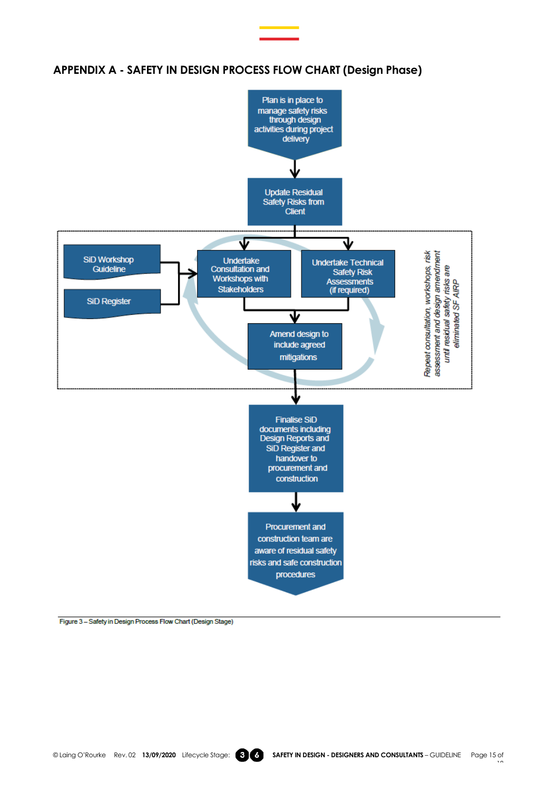

## <span id="page-14-0"></span>**APPENDIX A - SAFETY IN DESIGN PROCESS FLOW CHART (Design Phase)**

Figure 3 - Safety in Design Process Flow Chart (Design Stage)

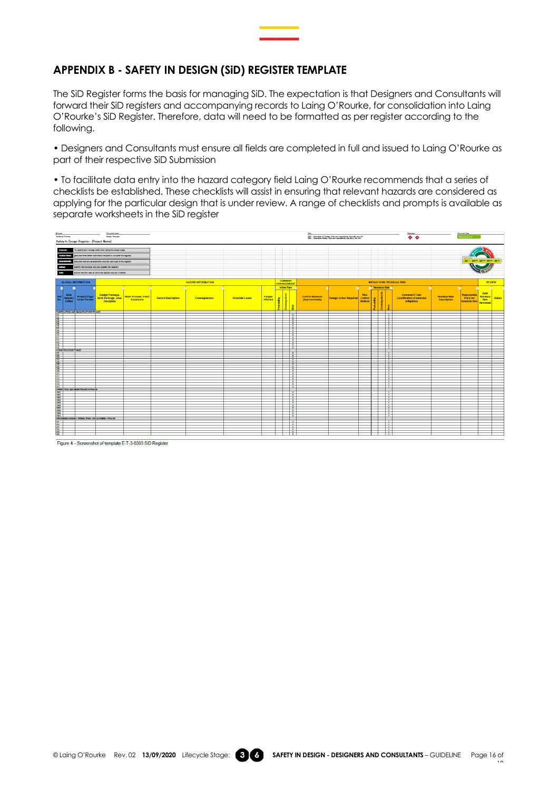## <span id="page-15-0"></span>**APPENDIX B - SAFETY IN DESIGN (SiD) REGISTER TEMPLATE**

The SiD Register forms the basis for managing SiD. The expectation is that Designers and Consultants will forward their SiD registers and accompanying records to Laing O'Rourke, for consolidation into Laing O'Rourke's SiD Register. Therefore, data will need to be formatted as per register according to the following.

• Designers and Consultants must ensure all fields are completed in full and issued to Laing O'Rourke as part of their respective SiD Submission

• To facilitate data entry into the hazard category field Laing O'Rourke recommends that a series of checklists be established. These checklists will assist in ensuring that relevant hazards are considered as applying for the particular design that is under review. A range of checklists and prompts is available as separate worksheets in the SiD register



Figure 4 - Screenshot of template E-T-3-0393 SiD Registe

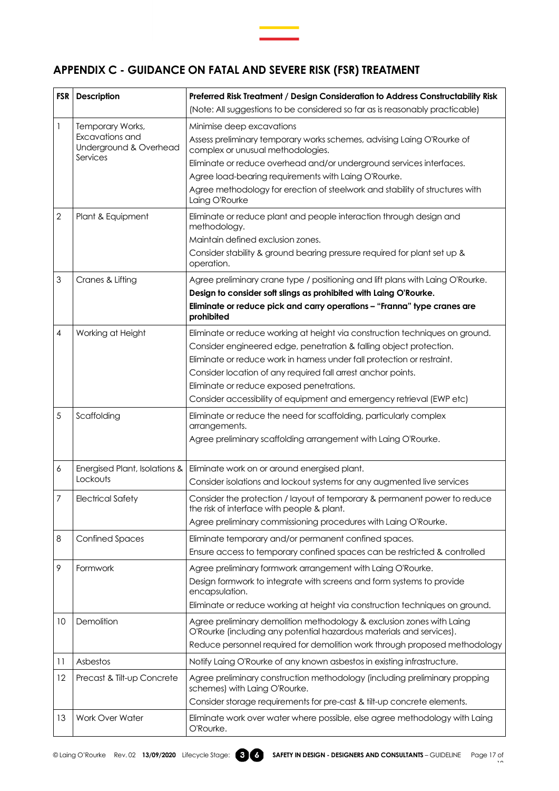## <span id="page-16-0"></span>**APPENDIX C - GUIDANCE ON FATAL AND SEVERE RISK (FSR) TREATMENT**

| <b>FSR</b>     | <b>Description</b>                                    | Preferred Risk Treatment / Design Consideration to Address Constructability Risk                                                                    |  |
|----------------|-------------------------------------------------------|-----------------------------------------------------------------------------------------------------------------------------------------------------|--|
|                |                                                       | (Note: All suggestions to be considered so far as is reasonably practicable)                                                                        |  |
| 1              | Temporary Works,                                      | Minimise deep excavations                                                                                                                           |  |
|                | Excavations and<br>Underground & Overhead<br>Services | Assess preliminary temporary works schemes, advising Laing O'Rourke of<br>complex or unusual methodologies.                                         |  |
|                |                                                       | Eliminate or reduce overhead and/or underground services interfaces.                                                                                |  |
|                |                                                       | Agree load-bearing requirements with Laing O'Rourke.                                                                                                |  |
|                |                                                       | Agree methodology for erection of steelwork and stability of structures with<br>Laing O'Rourke                                                      |  |
| $\overline{2}$ | Plant & Equipment                                     | Eliminate or reduce plant and people interaction through design and<br>methodology.                                                                 |  |
|                |                                                       | Maintain defined exclusion zones.                                                                                                                   |  |
|                |                                                       | Consider stability & ground bearing pressure required for plant set up &<br>operation.                                                              |  |
| 3              | Cranes & Lifting                                      | Agree preliminary crane type / positioning and lift plans with Laing O'Rourke.<br>Design to consider soft slings as prohibited with Laing O'Rourke. |  |
|                |                                                       | Eliminate or reduce pick and carry operations - "Franna" type cranes are<br>prohibited                                                              |  |
| 4              | Working at Height                                     | Eliminate or reduce working at height via construction techniques on ground.                                                                        |  |
|                |                                                       | Consider engineered edge, penetration & falling object protection.                                                                                  |  |
|                |                                                       | Eliminate or reduce work in harness under fall protection or restraint.                                                                             |  |
|                |                                                       | Consider location of any required fall arrest anchor points.                                                                                        |  |
|                |                                                       | Eliminate or reduce exposed penetrations.                                                                                                           |  |
|                |                                                       | Consider accessibility of equipment and emergency retrieval (EWP etc)                                                                               |  |
| 5              | Scaffolding                                           | Eliminate or reduce the need for scaffolding, particularly complex<br>arrangements.                                                                 |  |
|                |                                                       | Agree preliminary scaffolding arrangement with Laing O'Rourke.                                                                                      |  |
| 6              | Energised Plant, Isolations &                         | Eliminate work on or around energised plant.                                                                                                        |  |
|                | Lockouts                                              | Consider isolations and lockout systems for any augmented live services                                                                             |  |
| 7              | <b>Electrical Safety</b>                              | Consider the protection / layout of temporary & permanent power to reduce<br>the risk of interface with people & plant.                             |  |
|                |                                                       | Agree preliminary commissioning procedures with Laing O'Rourke.                                                                                     |  |
| 8              | <b>Confined Spaces</b>                                | Eliminate temporary and/or permanent confined spaces.                                                                                               |  |
|                |                                                       | Ensure access to temporary confined spaces can be restricted & controlled                                                                           |  |
| 9              | Formwork                                              | Agree preliminary formwork arrangement with Laing O'Rourke.                                                                                         |  |
|                |                                                       | Design formwork to integrate with screens and form systems to provide<br>encapsulation.                                                             |  |
|                |                                                       | Eliminate or reduce working at height via construction techniques on ground.                                                                        |  |
| 10             | Demolition                                            | Agree preliminary demolition methodology & exclusion zones with Laing<br>O'Rourke (including any potential hazardous materials and services).       |  |
|                |                                                       | Reduce personnel required for demolition work through proposed methodology                                                                          |  |
| 11             | Asbestos                                              | Notify Laing O'Rourke of any known asbestos in existing infrastructure.                                                                             |  |
| 12             | Precast & Tilt-up Concrete                            | Agree preliminary construction methodology (including preliminary propping<br>schemes) with Laing O'Rourke.                                         |  |
|                |                                                       | Consider storage requirements for pre-cast & tilt-up concrete elements.                                                                             |  |
| 13             | Work Over Water                                       | Eliminate work over water where possible, else agree methodology with Laing<br>O'Rourke.                                                            |  |